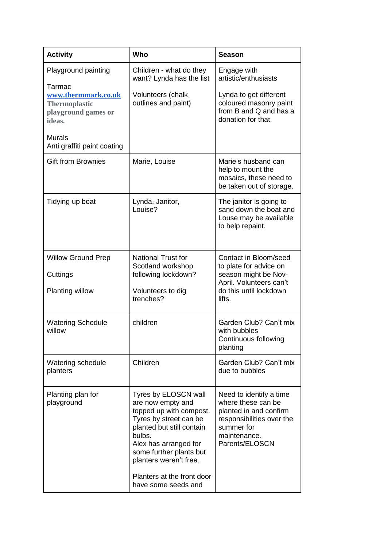| <b>Activity</b>                                                                                                                                               | Who                                                                                                                                                                                                                                                                      | <b>Season</b>                                                                                                                                        |
|---------------------------------------------------------------------------------------------------------------------------------------------------------------|--------------------------------------------------------------------------------------------------------------------------------------------------------------------------------------------------------------------------------------------------------------------------|------------------------------------------------------------------------------------------------------------------------------------------------------|
| Playground painting<br>Tarmac<br>www.thermmark.co.uk<br><b>Thermoplastic</b><br>playground games or<br>ideas.<br><b>Murals</b><br>Anti graffiti paint coating | Children - what do they<br>want? Lynda has the list<br>Volunteers (chalk<br>outlines and paint)                                                                                                                                                                          | Engage with<br>artistic/enthusiasts<br>Lynda to get different<br>coloured masonry paint<br>from B and Q and has a<br>donation for that.              |
| <b>Gift from Brownies</b>                                                                                                                                     | Marie, Louise                                                                                                                                                                                                                                                            | Marie's husband can<br>help to mount the<br>mosaics, these need to<br>be taken out of storage.                                                       |
| Tidying up boat                                                                                                                                               | Lynda, Janitor,<br>Louise?                                                                                                                                                                                                                                               | The janitor is going to<br>sand down the boat and<br>Louse may be available<br>to help repaint.                                                      |
| <b>Willow Ground Prep</b><br>Cuttings<br>Planting willow                                                                                                      | <b>National Trust for</b><br>Scotland workshop<br>following lockdown?<br>Volunteers to dig<br>trenches?                                                                                                                                                                  | Contact in Bloom/seed<br>to plate for advice on<br>season might be Nov-<br>April. Volunteers can't<br>do this until lockdown<br>lifts.               |
| <b>Watering Schedule</b><br>willow                                                                                                                            | children                                                                                                                                                                                                                                                                 | Garden Club? Can't mix<br>with bubbles<br>Continuous following<br>planting                                                                           |
| Watering schedule<br>planters                                                                                                                                 | Children                                                                                                                                                                                                                                                                 | Garden Club? Can't mix<br>due to bubbles                                                                                                             |
| Planting plan for<br>playground                                                                                                                               | Tyres by ELOSCN wall<br>are now empty and<br>topped up with compost.<br>Tyres by street can be<br>planted but still contain<br>bulbs.<br>Alex has arranged for<br>some further plants but<br>planters weren't free.<br>Planters at the front door<br>have some seeds and | Need to identify a time<br>where these can be<br>planted in and confirm<br>responsibilities over the<br>summer for<br>maintenance.<br>Parents/ELOSCN |